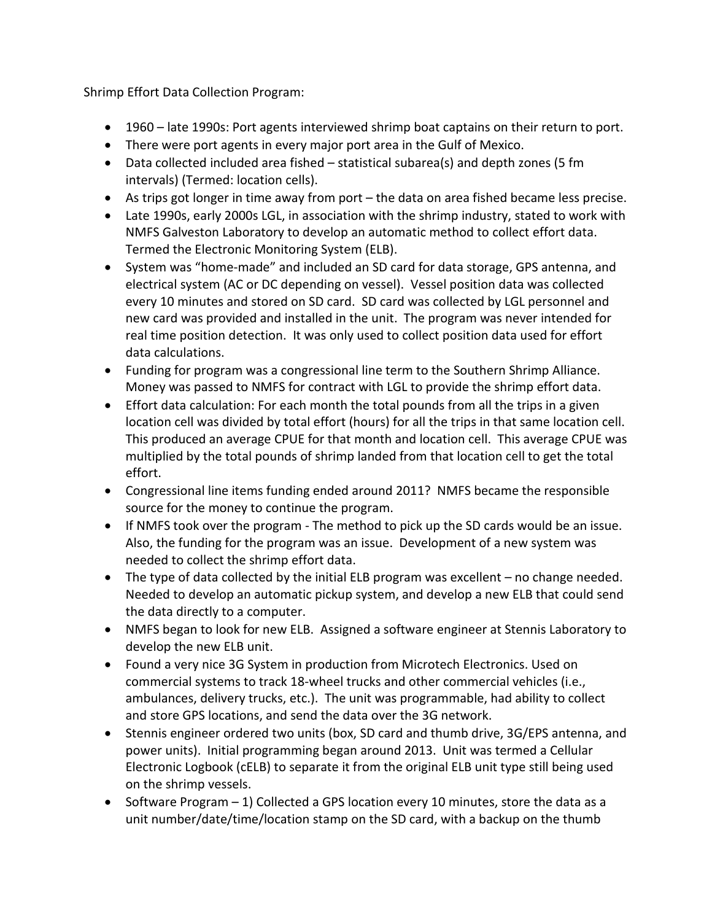Shrimp Effort Data Collection Program:

- 1960 late 1990s: Port agents interviewed shrimp boat captains on their return to port.
- There were port agents in every major port area in the Gulf of Mexico.
- Data collected included area fished statistical subarea(s) and depth zones (5 fm intervals) (Termed: location cells).
- As trips got longer in time away from port the data on area fished became less precise.
- Late 1990s, early 2000s LGL, in association with the shrimp industry, stated to work with NMFS Galveston Laboratory to develop an automatic method to collect effort data. Termed the Electronic Monitoring System (ELB).
- System was "home-made" and included an SD card for data storage, GPS antenna, and electrical system (AC or DC depending on vessel). Vessel position data was collected every 10 minutes and stored on SD card. SD card was collected by LGL personnel and new card was provided and installed in the unit. The program was never intended for real time position detection. It was only used to collect position data used for effort data calculations.
- Funding for program was a congressional line term to the Southern Shrimp Alliance. Money was passed to NMFS for contract with LGL to provide the shrimp effort data.
- Effort data calculation: For each month the total pounds from all the trips in a given location cell was divided by total effort (hours) for all the trips in that same location cell. This produced an average CPUE for that month and location cell. This average CPUE was multiplied by the total pounds of shrimp landed from that location cell to get the total effort.
- Congressional line items funding ended around 2011? NMFS became the responsible source for the money to continue the program.
- If NMFS took over the program The method to pick up the SD cards would be an issue. Also, the funding for the program was an issue. Development of a new system was needed to collect the shrimp effort data.
- The type of data collected by the initial ELB program was excellent no change needed. Needed to develop an automatic pickup system, and develop a new ELB that could send the data directly to a computer.
- NMFS began to look for new ELB. Assigned a software engineer at Stennis Laboratory to develop the new ELB unit.
- Found a very nice 3G System in production from Microtech Electronics. Used on commercial systems to track 18-wheel trucks and other commercial vehicles (i.e., ambulances, delivery trucks, etc.). The unit was programmable, had ability to collect and store GPS locations, and send the data over the 3G network.
- Stennis engineer ordered two units (box, SD card and thumb drive, 3G/EPS antenna, and power units). Initial programming began around 2013. Unit was termed a Cellular Electronic Logbook (cELB) to separate it from the original ELB unit type still being used on the shrimp vessels.
- Software Program 1) Collected a GPS location every 10 minutes, store the data as a unit number/date/time/location stamp on the SD card, with a backup on the thumb